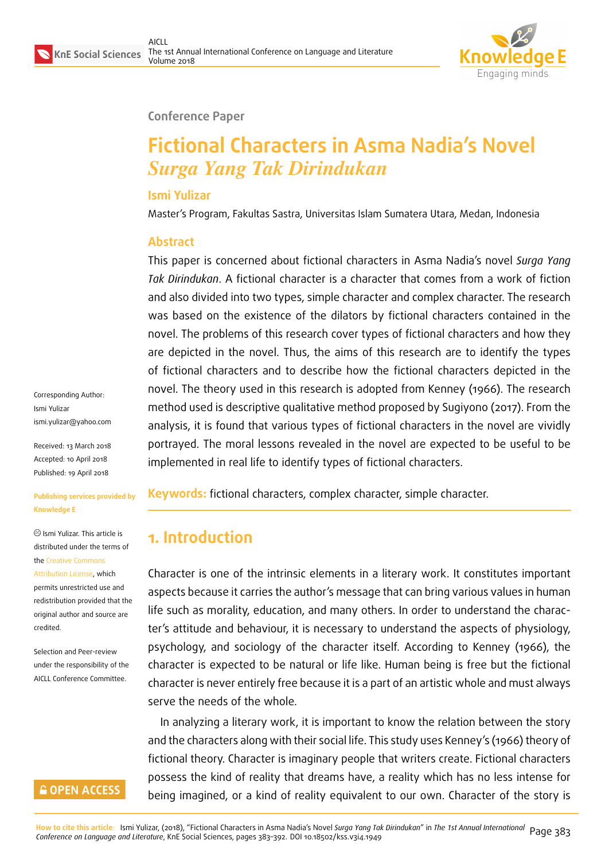

#### **Conference Paper**

# **Fictional Characters in Asma Nadia's Novel** *Surga Yang Tak Dirindukan*

### **Ismi Yulizar**

Master's Program, Fakultas Sastra, Universitas Islam Sumatera Utara, Medan, Indonesia

### **Abstract**

This paper is concerned about fictional characters in Asma Nadia's novel *Surga Yang Tak Dirindukan*. A fictional character is a character that comes from a work of fiction and also divided into two types, simple character and complex character. The research was based on the existence of the dilators by fictional characters contained in the novel. The problems of this research cover types of fictional characters and how they are depicted in the novel. Thus, the aims of this research are to identify the types of fictional characters and to describe how the fictional characters depicted in the novel. The theory used in this research is adopted from Kenney (1966). The research method used is descriptive qualitative method proposed by Sugiyono (2017). From the analysis, it is found that various types of fictional characters in the novel are vividly portrayed. The moral lessons revealed in the novel are expected to be useful to be implemented in real life to identify types of fictional characters.

**Keywords:** fictional characters, complex character, simple character.

# **1. Introduction**

Character is one of the intrinsic elements in a literary work. It constitutes important aspects because it carries the author's message that can bring various values in human life such as morality, education, and many others. In order to understand the character's attitude and behaviour, it is necessary to understand the aspects of physiology, psychology, and sociology of the character itself. According to Kenney (1966), the character is expected to be natural or life like. Human being is free but the fictional character is never entirely free because it is a part of an artistic whole and must always serve the needs of the whole.

In analyzing a literary work, it is important to know the relation between the story and the characters along with their social life. This study uses Kenney's (1966) theory of fictional theory. Character is imaginary people that writers create. Fictional characters possess the kind of reality that dreams have, a reality which has no less intense for being imagined, or a kind of reality equivalent to our own. Character of the story is

Corresponding Author: Ismi Yulizar ismi.yulizar@yahoo.com

Received: 13 March 2018 Accepted: 10 April 2018 [Published: 19 April 2018](mailto:ismi.yulizar@yahoo.com)

#### **Publishing services provided by Knowledge E**

Ismi Yulizar. This article is distributed under the terms of the Creative Commons Attribution License, which permits unrestricted use and redistribution provided that the ori[ginal author and sou](https://creativecommons.org/licenses/by/4.0/)rce are [credited.](https://creativecommons.org/licenses/by/4.0/)

Selection and Peer-review under the responsibility of the AICLL Conference Committee.

### **GOPEN ACCESS**

<mark>How to cite this article</mark>: Ismi Yulizar, (2018), "Fictional Characters in Asma Nadia's Novel *Surgo Yong Tok Dirindukon"* in *The 1st Annuol Internotional* Page 383<br>*Conference on Longuoge ond Literoture,* KnE Social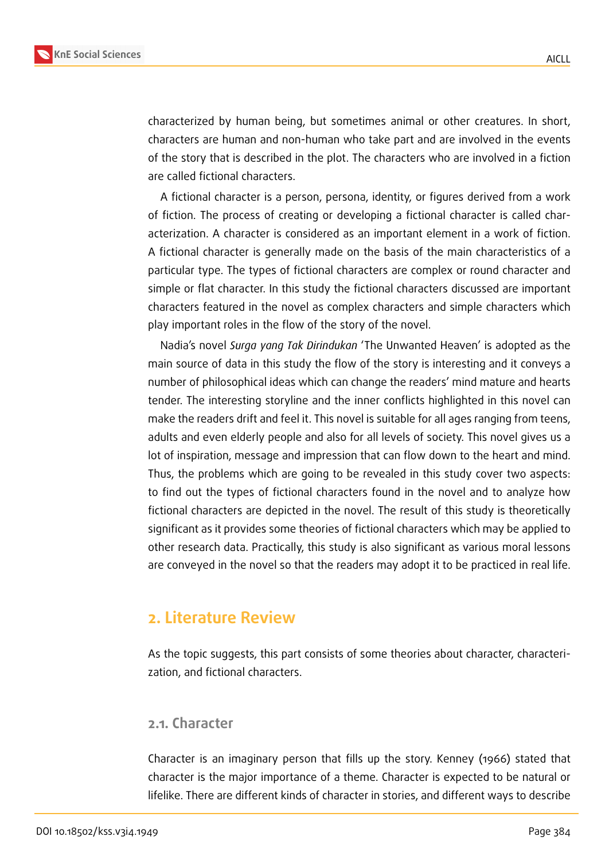

characterized by human being, but sometimes animal or other creatures. In short, characters are human and non-human who take part and are involved in the events of the story that is described in the plot. The characters who are involved in a fiction are called fictional characters.

A fictional character is a person, persona, identity, or figures derived from a work of fiction. The process of creating or developing a fictional character is called characterization. A character is considered as an important element in a work of fiction. A fictional character is generally made on the basis of the main characteristics of a particular type. The types of fictional characters are complex or round character and simple or flat character. In this study the fictional characters discussed are important characters featured in the novel as complex characters and simple characters which play important roles in the flow of the story of the novel.

Nadia's novel *Surga yang Tak Dirindukan* 'The Unwanted Heaven' is adopted as the main source of data in this study the flow of the story is interesting and it conveys a number of philosophical ideas which can change the readers' mind mature and hearts tender. The interesting storyline and the inner conflicts highlighted in this novel can make the readers drift and feel it. This novel is suitable for all ages ranging from teens, adults and even elderly people and also for all levels of society. This novel gives us a lot of inspiration, message and impression that can flow down to the heart and mind. Thus, the problems which are going to be revealed in this study cover two aspects: to find out the types of fictional characters found in the novel and to analyze how fictional characters are depicted in the novel. The result of this study is theoretically significant as it provides some theories of fictional characters which may be applied to other research data. Practically, this study is also significant as various moral lessons are conveyed in the novel so that the readers may adopt it to be practiced in real life.

### **2. Literature Review**

As the topic suggests, this part consists of some theories about character, characterization, and fictional characters.

#### **2.1. Character**

Character is an imaginary person that fills up the story. Kenney (1966) stated that character is the major importance of a theme. Character is expected to be natural or lifelike. There are different kinds of character in stories, and different ways to describe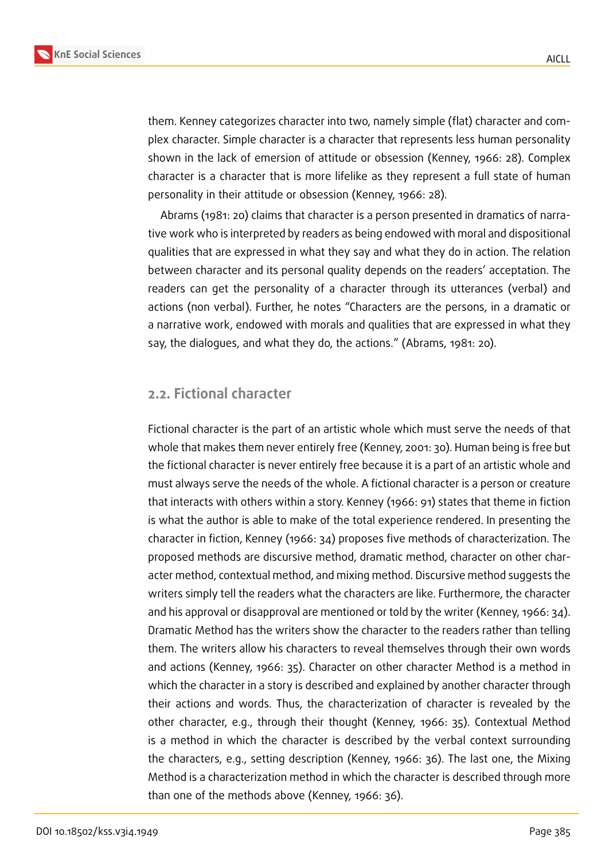

them. Kenney categorizes character into two, namely simple (flat) character and complex character. Simple character is a character that represents less human personality shown in the lack of emersion of attitude or obsession (Kenney, 1966: 28). Complex character is a character that is more lifelike as they represent a full state of human personality in their attitude or obsession (Kenney, 1966: 28).

Abrams (1981: 20) claims that character is a person presented in dramatics of narrative work who is interpreted by readers as being endowed with moral and dispositional qualities that are expressed in what they say and what they do in action. The relation between character and its personal quality depends on the readers' acceptation. The readers can get the personality of a character through its utterances (verbal) and actions (non verbal). Further, he notes "Characters are the persons, in a dramatic or a narrative work, endowed with morals and qualities that are expressed in what they say, the dialogues, and what they do, the actions." (Abrams, 1981: 20).

### **2.2. Fictional character**

Fictional character is the part of an artistic whole which must serve the needs of that whole that makes them never entirely free (Kenney, 2001: 30). Human being is free but the fictional character is never entirely free because it is a part of an artistic whole and must always serve the needs of the whole. A fictional character is a person or creature that interacts with others within a story. Kenney (1966: 91) states that theme in fiction is what the author is able to make of the total experience rendered. In presenting the character in fiction, Kenney (1966: 34) proposes five methods of characterization. The proposed methods are discursive method, dramatic method, character on other character method, contextual method, and mixing method. Discursive method suggests the writers simply tell the readers what the characters are like. Furthermore, the character and his approval or disapproval are mentioned or told by the writer (Kenney, 1966: 34). Dramatic Method has the writers show the character to the readers rather than telling them. The writers allow his characters to reveal themselves through their own words and actions (Kenney, 1966: 35). Character on other character Method is a method in which the character in a story is described and explained by another character through their actions and words. Thus, the characterization of character is revealed by the other character, e.g., through their thought (Kenney, 1966: 35). Contextual Method is a method in which the character is described by the verbal context surrounding the characters, e.g., setting description (Kenney, 1966: 36). The last one, the Mixing Method is a characterization method in which the character is described through more than one of the methods above (Kenney, 1966: 36).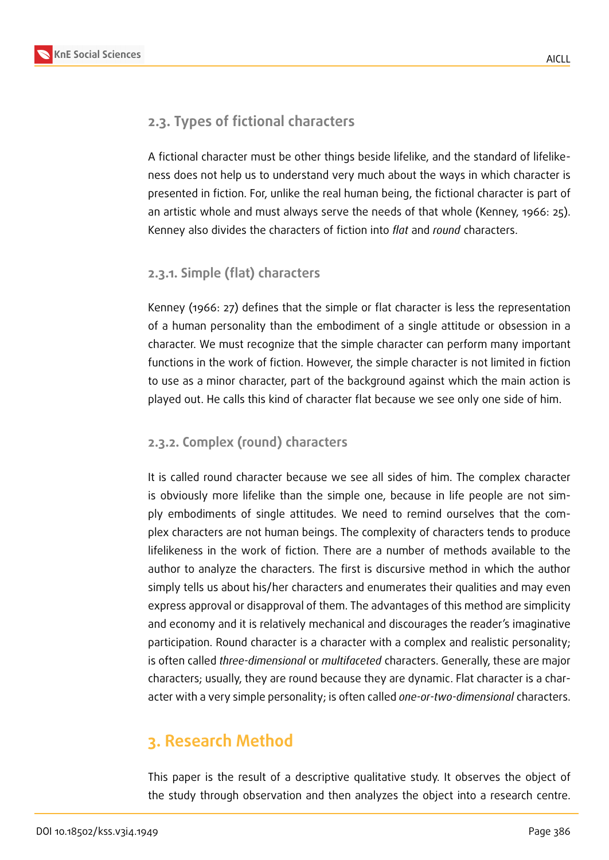### **2.3. Types of fictional characters**

A fictional character must be other things beside lifelike, and the standard of lifelikeness does not help us to understand very much about the ways in which character is presented in fiction. For, unlike the real human being, the fictional character is part of an artistic whole and must always serve the needs of that whole (Kenney, 1966: 25). Kenney also divides the characters of fiction into *flat* and *round* characters.

### **2.3.1. Simple (flat) characters**

Kenney (1966: 27) defines that the simple or flat character is less the representation of a human personality than the embodiment of a single attitude or obsession in a character. We must recognize that the simple character can perform many important functions in the work of fiction. However, the simple character is not limited in fiction to use as a minor character, part of the background against which the main action is played out. He calls this kind of character flat because we see only one side of him.

### **2.3.2. Complex (round) characters**

It is called round character because we see all sides of him. The complex character is obviously more lifelike than the simple one, because in life people are not simply embodiments of single attitudes. We need to remind ourselves that the complex characters are not human beings. The complexity of characters tends to produce lifelikeness in the work of fiction. There are a number of methods available to the author to analyze the characters. The first is discursive method in which the author simply tells us about his/her characters and enumerates their qualities and may even express approval or disapproval of them. The advantages of this method are simplicity and economy and it is relatively mechanical and discourages the reader's imaginative participation. Round character is a character with a complex and realistic personality; is often called *three-dimensional* or *multifaceted* characters. Generally, these are major characters; usually, they are round because they are dynamic. Flat character is a character with a very simple personality; is often called *one-or-two-dimensional* characters.

# **3. Research Method**

This paper is the result of a descriptive qualitative study. It observes the object of the study through observation and then analyzes the object into a research centre.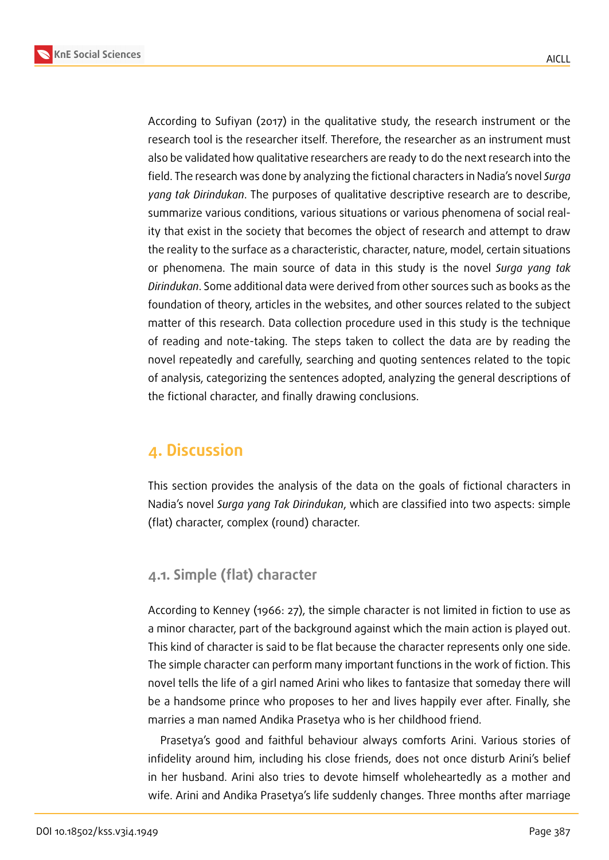According to Sufiyan (2017) in the qualitative study, the research instrument or the research tool is the researcher itself. Therefore, the researcher as an instrument must also be validated how qualitative researchers are ready to do the next research into the field. The research was done by analyzing the fictional characters in Nadia's novel *Surga yang tak Dirindukan*. The purposes of qualitative descriptive research are to describe, summarize various conditions, various situations or various phenomena of social reality that exist in the society that becomes the object of research and attempt to draw the reality to the surface as a characteristic, character, nature, model, certain situations or phenomena. The main source of data in this study is the novel *Surga yang tak Dirindukan*. Some additional data were derived from other sources such as books as the foundation of theory, articles in the websites, and other sources related to the subject matter of this research. Data collection procedure used in this study is the technique of reading and note-taking. The steps taken to collect the data are by reading the novel repeatedly and carefully, searching and quoting sentences related to the topic of analysis, categorizing the sentences adopted, analyzing the general descriptions of the fictional character, and finally drawing conclusions.

## **4. Discussion**

This section provides the analysis of the data on the goals of fictional characters in Nadia's novel *Surga yang Tak Dirindukan*, which are classified into two aspects: simple (flat) character, complex (round) character.

### **4.1. Simple (flat) character**

According to Kenney (1966: 27), the simple character is not limited in fiction to use as a minor character, part of the background against which the main action is played out. This kind of character is said to be flat because the character represents only one side. The simple character can perform many important functions in the work of fiction. This novel tells the life of a girl named Arini who likes to fantasize that someday there will be a handsome prince who proposes to her and lives happily ever after. Finally, she marries a man named Andika Prasetya who is her childhood friend.

Prasetya's good and faithful behaviour always comforts Arini. Various stories of infidelity around him, including his close friends, does not once disturb Arini's belief in her husband. Arini also tries to devote himself wholeheartedly as a mother and wife. Arini and Andika Prasetya's life suddenly changes. Three months after marriage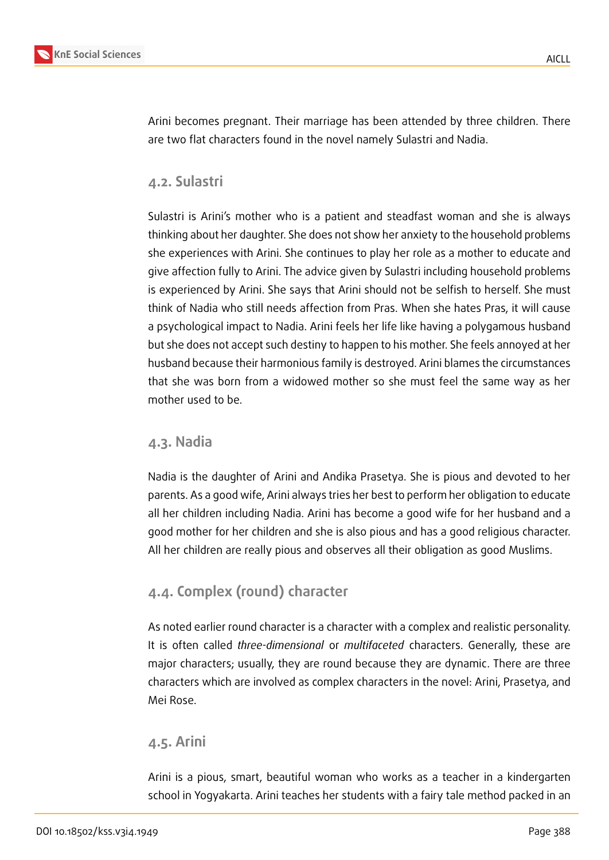

Arini becomes pregnant. Their marriage has been attended by three children. There are two flat characters found in the novel namely Sulastri and Nadia.

### **4.2. Sulastri**

Sulastri is Arini's mother who is a patient and steadfast woman and she is always thinking about her daughter. She does not show her anxiety to the household problems she experiences with Arini. She continues to play her role as a mother to educate and give affection fully to Arini. The advice given by Sulastri including household problems is experienced by Arini. She says that Arini should not be selfish to herself. She must think of Nadia who still needs affection from Pras. When she hates Pras, it will cause a psychological impact to Nadia. Arini feels her life like having a polygamous husband but she does not accept such destiny to happen to his mother. She feels annoyed at her husband because their harmonious family is destroyed. Arini blames the circumstances that she was born from a widowed mother so she must feel the same way as her mother used to be.

### **4.3. Nadia**

Nadia is the daughter of Arini and Andika Prasetya. She is pious and devoted to her parents. As a good wife, Arini always tries her best to perform her obligation to educate all her children including Nadia. Arini has become a good wife for her husband and a good mother for her children and she is also pious and has a good religious character. All her children are really pious and observes all their obligation as good Muslims.

### **4.4. Complex (round) character**

As noted earlier round character is a character with a complex and realistic personality. It is often called *three-dimensional* or *multifaceted* characters. Generally, these are major characters; usually, they are round because they are dynamic. There are three characters which are involved as complex characters in the novel: Arini, Prasetya, and Mei Rose.

#### **4.5. Arini**

Arini is a pious, smart, beautiful woman who works as a teacher in a kindergarten school in Yogyakarta. Arini teaches her students with a fairy tale method packed in an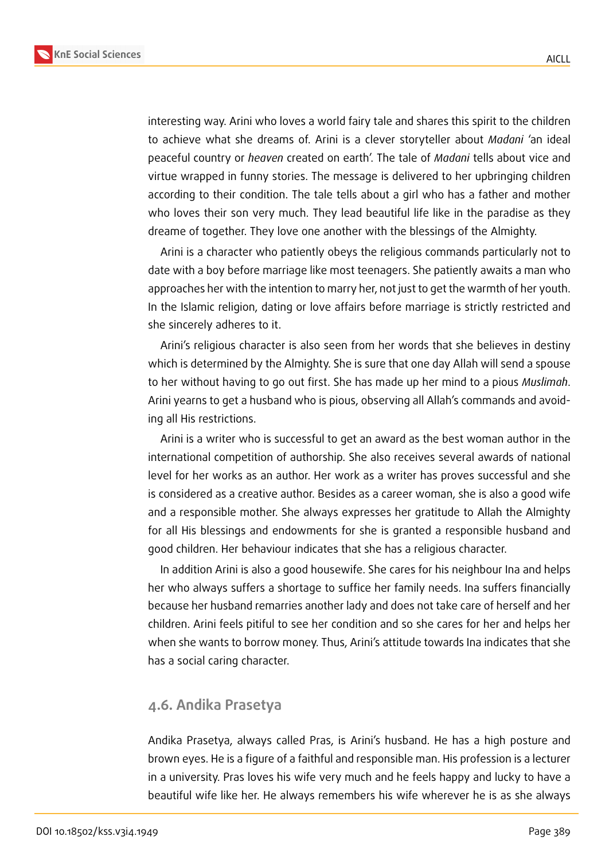



interesting way. Arini who loves a world fairy tale and shares this spirit to the children to achieve what she dreams of. Arini is a clever storyteller about *Madani* 'an ideal peaceful country or *heaven* created on earth'. The tale of *Madani* tells about vice and virtue wrapped in funny stories. The message is delivered to her upbringing children according to their condition. The tale tells about a girl who has a father and mother who loves their son very much. They lead beautiful life like in the paradise as they dreame of together. They love one another with the blessings of the Almighty.

Arini is a character who patiently obeys the religious commands particularly not to date with a boy before marriage like most teenagers. She patiently awaits a man who approaches her with the intention to marry her, not just to get the warmth of her youth. In the Islamic religion, dating or love affairs before marriage is strictly restricted and she sincerely adheres to it.

Arini's religious character is also seen from her words that she believes in destiny which is determined by the Almighty. She is sure that one day Allah will send a spouse to her without having to go out first. She has made up her mind to a pious *Muslimah*. Arini yearns to get a husband who is pious, observing all Allah's commands and avoiding all His restrictions.

Arini is a writer who is successful to get an award as the best woman author in the international competition of authorship. She also receives several awards of national level for her works as an author. Her work as a writer has proves successful and she is considered as a creative author. Besides as a career woman, she is also a good wife and a responsible mother. She always expresses her gratitude to Allah the Almighty for all His blessings and endowments for she is granted a responsible husband and good children. Her behaviour indicates that she has a religious character.

In addition Arini is also a good housewife. She cares for his neighbour Ina and helps her who always suffers a shortage to suffice her family needs. Ina suffers financially because her husband remarries another lady and does not take care of herself and her children. Arini feels pitiful to see her condition and so she cares for her and helps her when she wants to borrow money. Thus, Arini's attitude towards Ina indicates that she has a social caring character.

### **4.6. Andika Prasetya**

Andika Prasetya, always called Pras, is Arini's husband. He has a high posture and brown eyes. He is a figure of a faithful and responsible man. His profession is a lecturer in a university. Pras loves his wife very much and he feels happy and lucky to have a beautiful wife like her. He always remembers his wife wherever he is as she always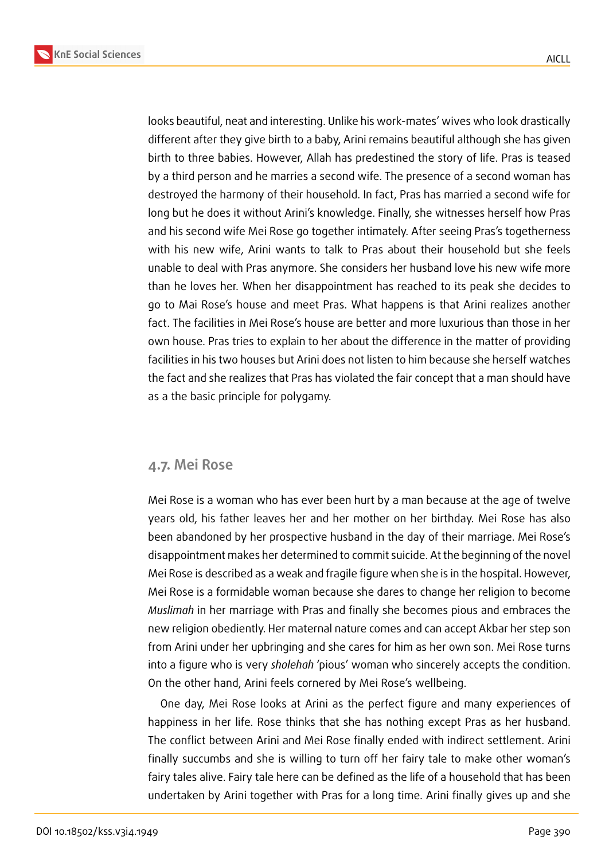AICLL



looks beautiful, neat and interesting. Unlike his work-mates' wives who look drastically different after they give birth to a baby, Arini remains beautiful although she has given birth to three babies. However, Allah has predestined the story of life. Pras is teased by a third person and he marries a second wife. The presence of a second woman has destroyed the harmony of their household. In fact, Pras has married a second wife for long but he does it without Arini's knowledge. Finally, she witnesses herself how Pras and his second wife Mei Rose go together intimately. After seeing Pras's togetherness with his new wife, Arini wants to talk to Pras about their household but she feels unable to deal with Pras anymore. She considers her husband love his new wife more than he loves her. When her disappointment has reached to its peak she decides to go to Mai Rose's house and meet Pras. What happens is that Arini realizes another fact. The facilities in Mei Rose's house are better and more luxurious than those in her own house. Pras tries to explain to her about the difference in the matter of providing facilities in his two houses but Arini does not listen to him because she herself watches the fact and she realizes that Pras has violated the fair concept that a man should have as a the basic principle for polygamy.

#### **4.7. Mei Rose**

Mei Rose is a woman who has ever been hurt by a man because at the age of twelve years old, his father leaves her and her mother on her birthday. Mei Rose has also been abandoned by her prospective husband in the day of their marriage. Mei Rose's disappointment makes her determined to commit suicide. At the beginning of the novel Mei Rose is described as a weak and fragile figure when she is in the hospital. However, Mei Rose is a formidable woman because she dares to change her religion to become *Muslimah* in her marriage with Pras and finally she becomes pious and embraces the new religion obediently. Her maternal nature comes and can accept Akbar her step son from Arini under her upbringing and she cares for him as her own son. Mei Rose turns into a figure who is very *sholehah* 'pious' woman who sincerely accepts the condition. On the other hand, Arini feels cornered by Mei Rose's wellbeing.

One day, Mei Rose looks at Arini as the perfect figure and many experiences of happiness in her life. Rose thinks that she has nothing except Pras as her husband. The conflict between Arini and Mei Rose finally ended with indirect settlement. Arini finally succumbs and she is willing to turn off her fairy tale to make other woman's fairy tales alive. Fairy tale here can be defined as the life of a household that has been undertaken by Arini together with Pras for a long time. Arini finally gives up and she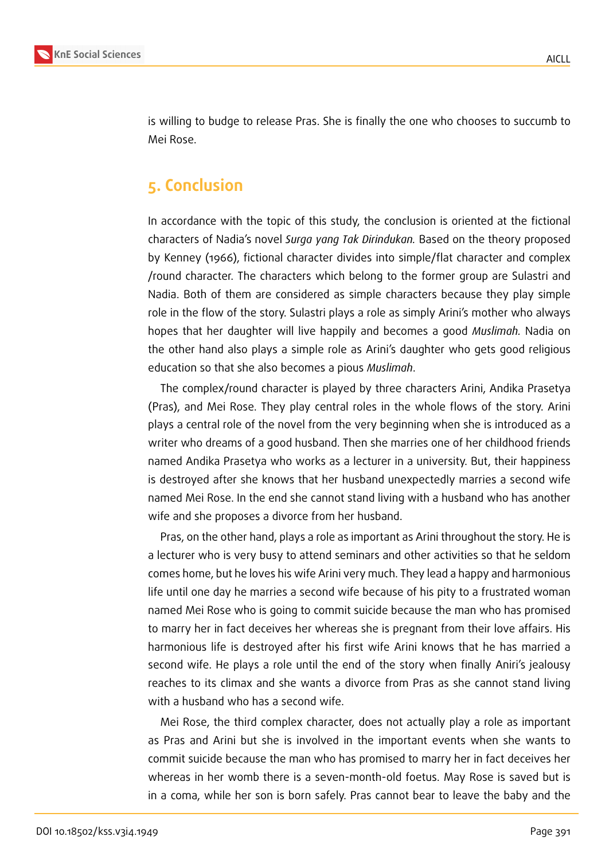

is willing to budge to release Pras. She is finally the one who chooses to succumb to Mei Rose.

# **5. Conclusion**

In accordance with the topic of this study, the conclusion is oriented at the fictional characters of Nadia's novel *Surga yang Tak Dirindukan.* Based on the theory proposed by Kenney (1966), fictional character divides into simple/flat character and complex /round character. The characters which belong to the former group are Sulastri and Nadia. Both of them are considered as simple characters because they play simple role in the flow of the story. Sulastri plays a role as simply Arini's mother who always hopes that her daughter will live happily and becomes a good *Muslimah.* Nadia on the other hand also plays a simple role as Arini's daughter who gets good religious education so that she also becomes a pious *Muslimah*.

The complex/round character is played by three characters Arini, Andika Prasetya (Pras), and Mei Rose. They play central roles in the whole flows of the story. Arini plays a central role of the novel from the very beginning when she is introduced as a writer who dreams of a good husband. Then she marries one of her childhood friends named Andika Prasetya who works as a lecturer in a university. But, their happiness is destroyed after she knows that her husband unexpectedly marries a second wife named Mei Rose. In the end she cannot stand living with a husband who has another wife and she proposes a divorce from her husband.

Pras, on the other hand, plays a role as important as Arini throughout the story. He is a lecturer who is very busy to attend seminars and other activities so that he seldom comes home, but he loves his wife Arini very much. They lead a happy and harmonious life until one day he marries a second wife because of his pity to a frustrated woman named Mei Rose who is going to commit suicide because the man who has promised to marry her in fact deceives her whereas she is pregnant from their love affairs. His harmonious life is destroyed after his first wife Arini knows that he has married a second wife. He plays a role until the end of the story when finally Aniri's jealousy reaches to its climax and she wants a divorce from Pras as she cannot stand living with a husband who has a second wife.

Mei Rose, the third complex character, does not actually play a role as important as Pras and Arini but she is involved in the important events when she wants to commit suicide because the man who has promised to marry her in fact deceives her whereas in her womb there is a seven-month-old foetus. May Rose is saved but is in a coma, while her son is born safely. Pras cannot bear to leave the baby and the